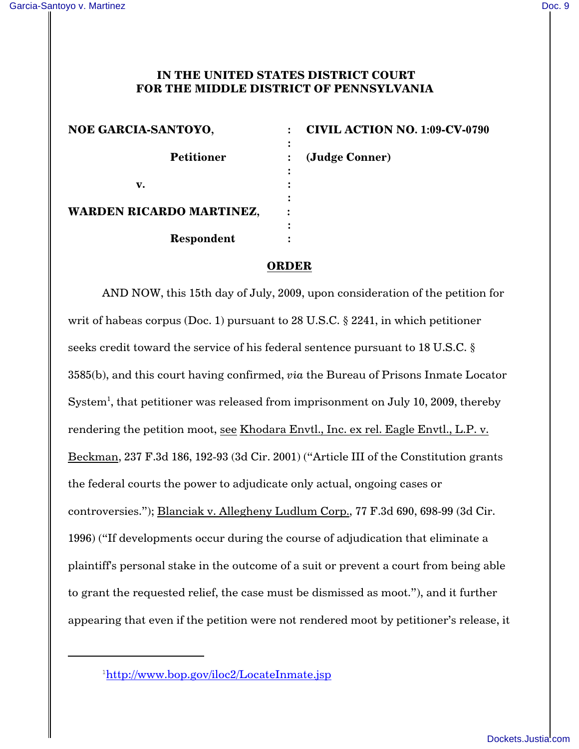## **IN THE UNITED STATES DISTRICT COURT FOR THE MIDDLE DISTRICT OF PENNSYLVANIA**

| NOE GARCIA-SANTOYO,             | <b>CIVIL ACTION NO. 1:09-CV-0790</b> |
|---------------------------------|--------------------------------------|
| <b>Petitioner</b>               | (Judge Conner)                       |
| v.                              |                                      |
| <b>WARDEN RICARDO MARTINEZ,</b> |                                      |
| Respondent                      |                                      |

## **ORDER**

AND NOW, this 15th day of July, 2009, upon consideration of the petition for writ of habeas corpus (Doc. 1) pursuant to 28 U.S.C. § 2241, in which petitioner seeks credit toward the service of his federal sentence pursuant to 18 U.S.C. § 3585(b), and this court having confirmed, *via* the Bureau of Prisons Inmate Locator System<sup>1</sup>, that petitioner was released from imprisonment on July 10, 2009, thereby rendering the petition moot, see Khodara Envtl., Inc. ex rel. Eagle Envtl., L.P. v. Beckman, 237 F.3d 186, 192-93 (3d Cir. 2001) ("Article III of the Constitution grants the federal courts the power to adjudicate only actual, ongoing cases or controversies."); Blanciak v. Allegheny Ludlum Corp., 77 F.3d 690, 698-99 (3d Cir. 1996) ("If developments occur during the course of adjudication that eliminate a plaintiff's personal stake in the outcome of a suit or prevent a court from being able to grant the requested relief, the case must be dismissed as moot."), and it further appearing that even if the petition were not rendered moot by petitioner's release, it

<sup>1</sup>http://www.bop.gov/iloc2/LocateInmate.jsp